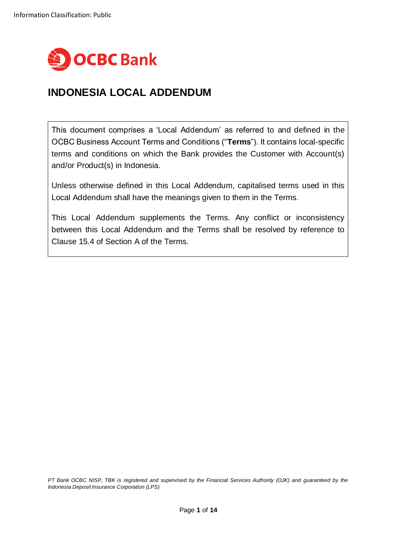

# **INDONESIA LOCAL ADDENDUM**

This document comprises a 'Local Addendum' as referred to and defined in the OCBC Business Account Terms and Conditions ("**Terms**"). It contains local-specific terms and conditions on which the Bank provides the Customer with Account(s) and/or Product(s) in Indonesia.

Unless otherwise defined in this Local Addendum, capitalised terms used in this Local Addendum shall have the meanings given to them in the Terms.

This Local Addendum supplements the Terms. Any conflict or inconsistency between this Local Addendum and the Terms shall be resolved by reference to Clause 15.4 of Section A of the Terms.

*PT Bank OCBC NISP, TBK is registered and supervised by the Financial Services Authority (OJK) and guaranteed by the Indonesia Deposit Insurance Corporation (LPS)*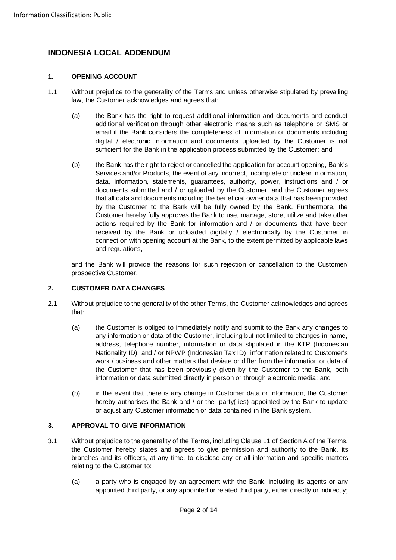# **INDONESIA LOCAL ADDENDUM**

# **1. OPENING ACCOUNT**

- 1.1 Without prejudice to the generality of the Terms and unless otherwise stipulated by prevailing law, the Customer acknowledges and agrees that:
	- (a) the Bank has the right to request additional information and documents and conduct additional verification through other electronic means such as telephone or SMS or email if the Bank considers the completeness of information or documents including digital / electronic information and documents uploaded by the Customer is not sufficient for the Bank in the application process submitted by the Customer; and
	- (b) the Bank has the right to reject or cancelled the application for account opening, Bank's Services and/or Products, the event of any incorrect, incomplete or unclear information, data, information, statements, guarantees, authority, power, instructions and / or documents submitted and / or uploaded by the Customer, and the Customer agrees that all data and documents including the beneficial owner data that has been provided by the Customer to the Bank will be fully owned by the Bank. Furthermore, the Customer hereby fully approves the Bank to use, manage, store, utilize and take other actions required by the Bank for information and / or documents that have been received by the Bank or uploaded digitally / electronically by the Customer in connection with opening account at the Bank, to the extent permitted by applicable laws and regulations,

and the Bank will provide the reasons for such rejection or cancellation to the Customer/ prospective Customer.

# **2. CUSTOMER DATA CHANGES**

- 2.1 Without prejudice to the generality of the other Terms, the Customer acknowledges and agrees that:
	- (a) the Customer is obliged to immediately notify and submit to the Bank any changes to any information or data of the Customer, including but not limited to changes in name, address, telephone number, information or data stipulated in the KTP (Indonesian Nationality ID) and / or NPWP (Indonesian Tax ID), information related to Customer's work / business and other matters that deviate or differ from the information or data of the Customer that has been previously given by the Customer to the Bank, both information or data submitted directly in person or through electronic media; and
	- (b) in the event that there is any change in Customer data or information, the Customer hereby authorises the Bank and / or the party(-ies) appointed by the Bank to update or adjust any Customer information or data contained in the Bank system.

# **3. APPROVAL TO GIVE INFORMATION**

- 3.1 Without prejudice to the generality of the Terms, including Clause 11 of Section A of the Terms, the Customer hereby states and agrees to give permission and authority to the Bank, its branches and its officers, at any time, to disclose any or all information and specific matters relating to the Customer to:
	- (a) a party who is engaged by an agreement with the Bank, including its agents or any appointed third party, or any appointed or related third party, either directly or indirectly;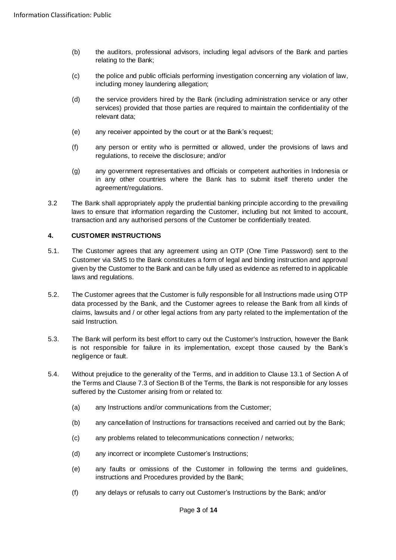- (b) the auditors, professional advisors, including legal advisors of the Bank and parties relating to the Bank;
- (c) the police and public officials performing investigation concerning any violation of law, including money laundering allegation;
- (d) the service providers hired by the Bank (including administration service or any other services) provided that those parties are required to maintain the confidentiality of the relevant data;
- (e) any receiver appointed by the court or at the Bank's request;
- (f) any person or entity who is permitted or allowed, under the provisions of laws and regulations, to receive the disclosure; and/or
- (g) any government representatives and officials or competent authorities in Indonesia or in any other countries where the Bank has to submit itself thereto under the agreement/regulations.
- 3.2 The Bank shall appropriately apply the prudential banking principle according to the prevailing laws to ensure that information regarding the Customer, including but not limited to account, transaction and any authorised persons of the Customer be confidentially treated.

# **4. CUSTOMER INSTRUCTIONS**

- 5.1. The Customer agrees that any agreement using an OTP (One Time Password) sent to the Customer via SMS to the Bank constitutes a form of legal and binding instruction and approval given by the Customer to the Bank and can be fully used as evidence as referred to in applicable laws and regulations.
- 5.2. The Customer agrees that the Customer is fully responsible for all Instructions made using OTP data processed by the Bank, and the Customer agrees to release the Bank from all kinds of claims, lawsuits and / or other legal actions from any party related to the implementation of the said Instruction.
- 5.3. The Bank will perform its best effort to carry out the Customer's Instruction, however the Bank is not responsible for failure in its implementation, except those caused by the Bank's negligence or fault.
- 5.4. Without prejudice to the generality of the Terms, and in addition to Clause 13.1 of Section A of the Terms and Clause 7.3 of Section B of the Terms, the Bank is not responsible for any losses suffered by the Customer arising from or related to:
	- (a) any Instructions and/or communications from the Customer;
	- (b) any cancellation of Instructions for transactions received and carried out by the Bank;
	- (c) any problems related to telecommunications connection / networks;
	- (d) any incorrect or incomplete Customer's Instructions;
	- (e) any faults or omissions of the Customer in following the terms and guidelines, instructions and Procedures provided by the Bank;
	- (f) any delays or refusals to carry out Customer's Instructions by the Bank; and/or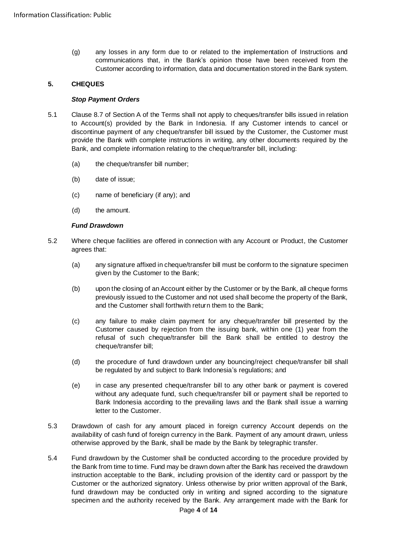(g) any losses in any form due to or related to the implementation of Instructions and communications that, in the Bank's opinion those have been received from the Customer according to information, data and documentation stored in the Bank system.

# **5. CHEQUES**

#### *Stop Payment Orders*

- 5.1 Clause 8.7 of Section A of the Terms shall not apply to cheques/transfer bills issued in relation to Account(s) provided by the Bank in Indonesia. If any Customer intends to cancel or discontinue payment of any cheque/transfer bill issued by the Customer, the Customer must provide the Bank with complete instructions in writing, any other documents required by the Bank, and complete information relating to the cheque/transfer bill, including:
	- (a) the cheque/transfer bill number;
	- (b) date of issue;
	- (c) name of beneficiary (if any); and
	- (d) the amount.

#### *Fund Drawdown*

- 5.2 Where cheque facilities are offered in connection with any Account or Product, the Customer agrees that:
	- (a) any signature affixed in cheque/transfer bill must be conform to the signature specimen given by the Customer to the Bank;
	- (b) upon the closing of an Account either by the Customer or by the Bank, all cheque forms previously issued to the Customer and not used shall become the property of the Bank, and the Customer shall forthwith return them to the Bank;
	- (c) any failure to make claim payment for any cheque/transfer bill presented by the Customer caused by rejection from the issuing bank, within one (1) year from the refusal of such cheque/transfer bill the Bank shall be entitled to destroy the cheque/transfer bill;
	- (d) the procedure of fund drawdown under any bouncing/reject cheque/transfer bill shall be regulated by and subject to Bank Indonesia's regulations; and
	- (e) in case any presented cheque/transfer bill to any other bank or payment is covered without any adequate fund, such cheque/transfer bill or payment shall be reported to Bank Indonesia according to the prevailing laws and the Bank shall issue a warning letter to the Customer.
- 5.3 Drawdown of cash for any amount placed in foreign currency Account depends on the availability of cash fund of foreign currency in the Bank. Payment of any amount drawn, unless otherwise approved by the Bank, shall be made by the Bank by telegraphic transfer.
- 5.4 Fund drawdown by the Customer shall be conducted according to the procedure provided by the Bank from time to time. Fund may be drawn down after the Bank has received the drawdown instruction acceptable to the Bank, including provision of the identity card or passport by the Customer or the authorized signatory. Unless otherwise by prior written approval of the Bank, fund drawdown may be conducted only in writing and signed according to the signature specimen and the authority received by the Bank. Any arrangement made with the Bank for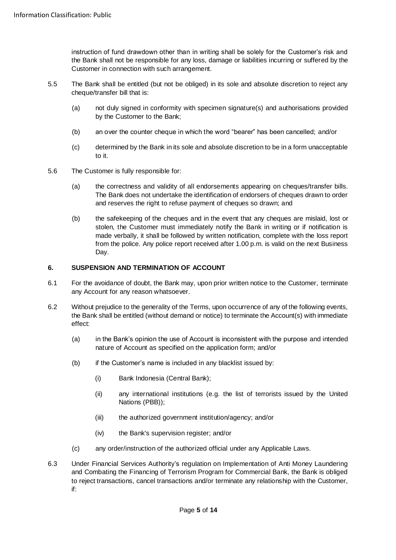instruction of fund drawdown other than in writing shall be solely for the Customer's risk and the Bank shall not be responsible for any loss, damage or liabilities incurring or suffered by the Customer in connection with such arrangement.

- 5.5 The Bank shall be entitled (but not be obliged) in its sole and absolute discretion to reject any cheque/transfer bill that is:
	- (a) not duly signed in conformity with specimen signature(s) and authorisations provided by the Customer to the Bank;
	- (b) an over the counter cheque in which the word "bearer" has been cancelled; and/or
	- (c) determined by the Bank in its sole and absolute discretion to be in a form unacceptable to it.
- 5.6 The Customer is fully responsible for:
	- (a) the correctness and validity of all endorsements appearing on cheques/transfer bills. The Bank does not undertake the identification of endorsers of cheques drawn to order and reserves the right to refuse payment of cheques so drawn; and
	- (b) the safekeeping of the cheques and in the event that any cheques are mislaid, lost or stolen, the Customer must immediately notify the Bank in writing or if notification is made verbally, it shall be followed by written notification, complete with the loss report from the police. Any police report received after 1.00 p.m. is valid on the next Business Day.

### **6. SUSPENSION AND TERMINATION OF ACCOUNT**

- 6.1 For the avoidance of doubt, the Bank may, upon prior written notice to the Customer, terminate any Account for any reason whatsoever.
- 6.2 Without prejudice to the generality of the Terms, upon occurrence of any of the following events, the Bank shall be entitled (without demand or notice) to terminate the Account(s) with immediate effect:
	- (a) in the Bank's opinion the use of Account is inconsistent with the purpose and intended nature of Account as specified on the application form; and/or
	- (b) if the Customer's name is included in any blacklist issued by:
		- (i) Bank Indonesia (Central Bank);
		- (ii) any international institutions (e.g. the list of terrorists issued by the United Nations (PBB));
		- (iii) the authorized government institution/agency; and/or
		- (iv) the Bank's supervision register; and/or
	- (c) any order/instruction of the authorized official under any Applicable Laws.
- 6.3 Under Financial Services Authority's regulation on Implementation of Anti Money Laundering and Combating the Financing of Terrorism Program for Commercial Bank, the Bank is obliged to reject transactions, cancel transactions and/or terminate any relationship with the Customer, if: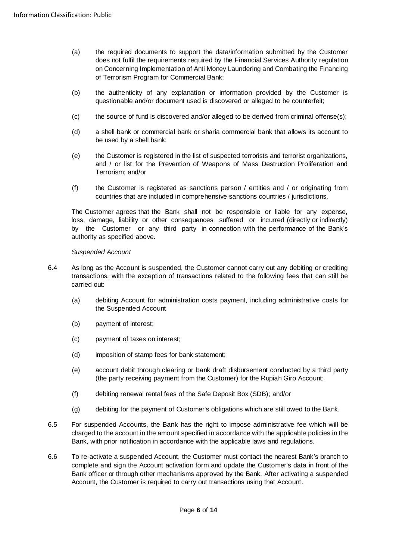- (a) the required documents to support the data/information submitted by the Customer does not fulfil the requirements required by the Financial Services Authority regulation on Concerning Implementation of Anti Money Laundering and Combating the Financing of Terrorism Program for Commercial Bank;
- (b) the authenticity of any explanation or information provided by the Customer is questionable and/or document used is discovered or alleged to be counterfeit;
- (c) the source of fund is discovered and/or alleged to be derived from criminal offense(s);
- (d) a shell bank or commercial bank or sharia commercial bank that allows its account to be used by a shell bank;
- (e) the Customer is registered in the list of suspected terrorists and terrorist organizations, and / or list for the Prevention of Weapons of Mass Destruction Proliferation and Terrorism; and/or
- (f) the Customer is registered as sanctions person / entities and / or originating from countries that are included in comprehensive sanctions countries / jurisdictions.

The Customer agrees that the Bank shall not be responsible or liable for any expense, loss, damage, liability or other consequences suffered or incurred (directly or indirectly) by the Customer or any third party in connection with the performance of the Bank's authority as specified above.

#### *Suspended Account*

- 6.4 As long as the Account is suspended, the Customer cannot carry out any debiting or crediting transactions, with the exception of transactions related to the following fees that can still be carried out:
	- (a) debiting Account for administration costs payment, including administrative costs for the Suspended Account
	- (b) payment of interest;
	- (c) payment of taxes on interest;
	- (d) imposition of stamp fees for bank statement;
	- (e) account debit through clearing or bank draft disbursement conducted by a third party (the party receiving payment from the Customer) for the Rupiah Giro Account;
	- (f) debiting renewal rental fees of the Safe Deposit Box (SDB); and/or
	- (g) debiting for the payment of Customer's obligations which are still owed to the Bank.
- 6.5 For suspended Accounts, the Bank has the right to impose administrative fee which will be charged to the account in the amount specified in accordance with the applicable policies in the Bank, with prior notification in accordance with the applicable laws and regulations.
- 6.6 To re-activate a suspended Account, the Customer must contact the nearest Bank's branch to complete and sign the Account activation form and update the Customer's data in front of the Bank officer or through other mechanisms approved by the Bank. After activating a suspended Account, the Customer is required to carry out transactions using that Account.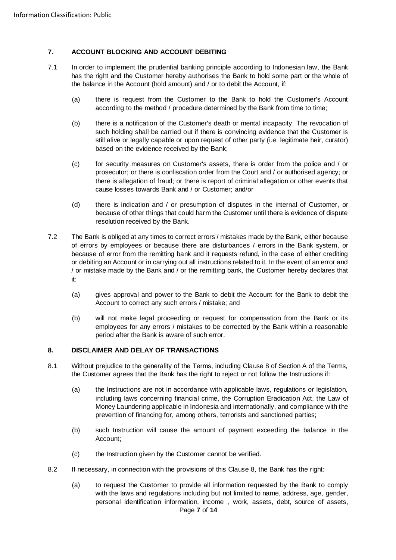### **7. ACCOUNT BLOCKING AND ACCOUNT DEBITING**

- 7.1 In order to implement the prudential banking principle according to Indonesian law, the Bank has the right and the Customer hereby authorises the Bank to hold some part or the whole of the balance in the Account (hold amount) and / or to debit the Account, if:
	- (a) there is request from the Customer to the Bank to hold the Customer's Account according to the method / procedure determined by the Bank from time to time;
	- (b) there is a notification of the Customer's death or mental incapacity. The revocation of such holding shall be carried out if there is convincing evidence that the Customer is still alive or legally capable or upon request of other party (i.e. legitimate heir, curator) based on the evidence received by the Bank;
	- (c) for security measures on Customer's assets, there is order from the police and / or prosecutor; or there is confiscation order from the Court and / or authorised agency; or there is allegation of fraud; or there is report of criminal allegation or other events that cause losses towards Bank and / or Customer; and/or
	- (d) there is indication and / or presumption of disputes in the internal of Customer, or because of other things that could harm the Customer until there is evidence of dispute resolution received by the Bank.
- 7.2 The Bank is obliged at any times to correct errors / mistakes made by the Bank, either because of errors by employees or because there are disturbances / errors in the Bank system, or because of error from the remitting bank and it requests refund, in the case of either crediting or debiting an Account or in carrying out all instructions related to it. In the event of an error and / or mistake made by the Bank and / or the remitting bank, the Customer hereby declares that it:
	- (a) gives approval and power to the Bank to debit the Account for the Bank to debit the Account to correct any such errors / mistake; and
	- (b) will not make legal proceeding or request for compensation from the Bank or its employees for any errors / mistakes to be corrected by the Bank within a reasonable period after the Bank is aware of such error.

#### <span id="page-6-0"></span>**8. DISCLAIMER AND DELAY OF TRANSACTIONS**

- 8.1 Without prejudice to the generality of the Terms, including Clause 8 of Section A of the Terms, the Customer agrees that the Bank has the right to reject or not follow the Instructions if:
	- (a) the Instructions are not in accordance with applicable laws, regulations or legislation, including laws concerning financial crime, the Corruption Eradication Act, the Law of Money Laundering applicable in Indonesia and internationally, and compliance with the prevention of financing for, among others, terrorists and sanctioned parties;
	- (b) such Instruction will cause the amount of payment exceeding the balance in the Account;
	- (c) the Instruction given by the Customer cannot be verified.
- 8.2 If necessary, in connection with the provisions of this Clause [8,](#page-6-0) the Bank has the right:
	- Page **7** of **14** (a) to request the Customer to provide all information requested by the Bank to comply with the laws and regulations including but not limited to name, address, age, gender, personal identification information, income , work, assets, debt, source of assets,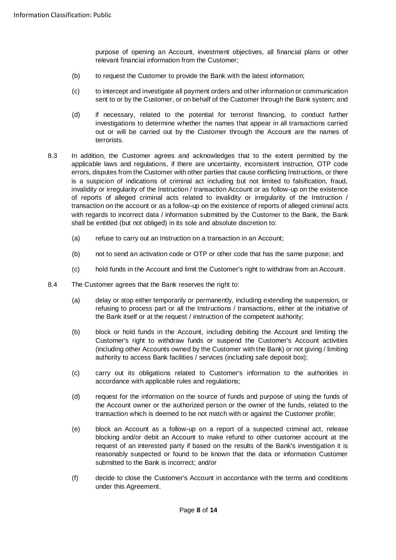purpose of opening an Account, investment objectives, all financial plans or other relevant financial information from the Customer;

- (b) to request the Customer to provide the Bank with the latest information;
- (c) to intercept and investigate all payment orders and other information or communication sent to or by the Customer, or on behalf of the Customer through the Bank system; and
- (d) if necessary, related to the potential for terrorist financing, to conduct further investigations to determine whether the names that appear in all transactions carried out or will be carried out by the Customer through the Account are the names of terrorists.
- 8.3 In addition, the Customer agrees and acknowledges that to the extent permitted by the applicable laws and regulations, if there are uncertainty, inconsistent Instruction, OTP code errors, disputes from the Customer with other parties that cause conflicting Instructions, or there is a suspicion of indications of criminal act including but not limited to falsification, fraud, invalidity or irregularity of the Instruction / transaction Account or as follow-up on the existence of reports of alleged criminal acts related to invalidity or irregularity of the Instruction / transaction on the account or as a follow-up on the existence of reports of alleged criminal acts with regards to incorrect data / information submitted by the Customer to the Bank, the Bank shall be entitled (but not obliged) in its sole and absolute discretion to:
	- (a) refuse to carry out an Instruction on a transaction in an Account;
	- (b) not to send an activation code or OTP or other code that has the same purpose; and
	- (c) hold funds in the Account and limit the Customer's right to withdraw from an Account.
- 8.4 The Customer agrees that the Bank reserves the right to:
	- (a) delay or stop either temporarily or permanently, including extending the suspension, or refusing to process part or all the Instructions / transactions, either at the initiative of the Bank itself or at the request / instruction of the competent authority;
	- (b) block or hold funds in the Account, including debiting the Account and limiting the Customer's right to withdraw funds or suspend the Customer's Account activities (including other Accounts owned by the Customer withthe Bank) or not giving / limiting authority to access Bank facilities / services (including safe deposit box);
	- (c) carry out its obligations related to Customer's information to the authorities in accordance with applicable rules and regulations;
	- (d) request for the information on the source of funds and purpose of using the funds of the Account owner or the authorized person or the owner of the funds, related to the transaction which is deemed to be not match with or against the Customer profile;
	- (e) block an Account as a follow-up on a report of a suspected criminal act, release blocking and/or debit an Account to make refund to other customer account at the request of an interested party if based on the results of the Bank's investigation it is reasonably suspected or found to be known that the data or information Customer submitted to the Bank is incorrect; and/or
	- (f) decide to close the Customer's Account in accordance with the terms and conditions under this Agreement.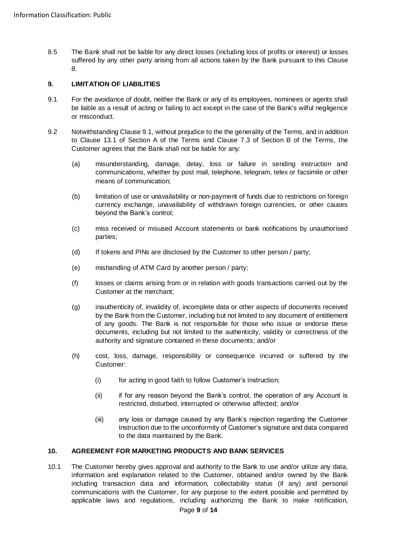8.5 The Bank shall not be liable for any direct losses (including loss of profits or interest) or losses suffered by any other party arising from all actions taken by the Bank pursuant to this Clause [8.](#page-6-0)

# **9. LIMITATION OF LIABILITIES**

- <span id="page-8-0"></span>9.1 For the avoidance of doubt, neither the Bank or any of its employees, nominees or agents shall be liable as a result of acting or failing to act except in the case of the Bank's wilful negligence or misconduct.
- 9.2 Notwithstanding Clause [9.1,](#page-8-0) without prejudice to the the generality of the Terms, and in addition to Clause 13.1 of Section A of the Terms and Clause 7.3 of Section B of the Terms, the Customer agrees that the Bank shall not be liable for any:
	- (a) misunderstanding, damage, delay, loss or failure in sending instruction and communications, whether by post mail, telephone, telegram, telex or facsimile or other means of communication;
	- (b) limitation of use or unavailability or non-payment of funds due to restrictions on foreign currency exchange, unavailability of withdrawn foreign currencies, or other causes beyond the Bank's control;
	- (c) miss received or misused Account statements or bank notifications by unauthorised parties;
	- (d) If tokens and PINs are disclosed by the Customer to other person / party;
	- (e) mishandling of ATM Card by another person / party;
	- (f) losses or claims arising from or in relation with goods transactions carried out by the Customer at the merchant;
	- (g) inauthenticity of, invalidity of, incomplete data or other aspects of documents received by the Bank from the Customer, including but not limited to any document of entitlement of any goods. The Bank is not responsible for those who issue or endorse these documents, including but not limited to the authenticity, validity or correctness of the authority and signature contained in these documents; and/or
	- (h) cost, loss, damage, responsibility or consequence incurred or suffered by the Customer:
		- (i) for acting in good faith to follow Customer's instruction;
		- (ii) if for any reason beyond the Bank's control, the operation of any Account is restricted, disturbed, interrupted or otherwise affected; and/or
		- (iii) any loss or damage caused by any Bank's rejection regarding the Customer Instruction due to the unconformity of Customer's signature and data compared to the data maintained by the Bank.

### **10. AGREEMENT FOR MARKETING PRODUCTS AND BANK SERVICES**

10.1 The Customer hereby gives approval and authority to the Bank to use and/or utilize any data, information and explanation related to the Customer, obtained and/or owned by the Bank including transaction data and information, collectability status (if any) and personal communications with the Customer, for any purpose to the extent possible and permitted by applicable laws and regulations, including authorizing the Bank to make notification,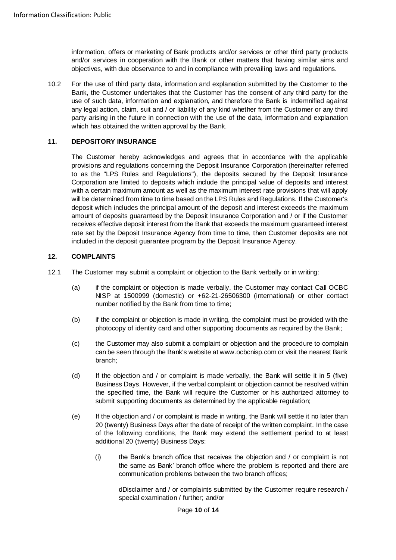information, offers or marketing of Bank products and/or services or other third party products and/or services in cooperation with the Bank or other matters that having similar aims and objectives, with due observance to and in compliance with prevailing laws and regulations.

10.2 For the use of third party data, information and explanation submitted by the Customer to the Bank, the Customer undertakes that the Customer has the consent of any third party for the use of such data, information and explanation, and therefore the Bank is indemnified against any legal action, claim, suit and / or liability of any kind whether from the Customer or any third party arising in the future in connection with the use of the data, information and explanation which has obtained the written approval by the Bank.

### **11. DEPOSITORY INSURANCE**

The Customer hereby acknowledges and agrees that in accordance with the applicable provisions and regulations concerning the Deposit Insurance Corporation (hereinafter referred to as the "LPS Rules and Regulations"), the deposits secured by the Deposit Insurance Corporation are limited to deposits which include the principal value of deposits and interest with a certain maximum amount as well as the maximum interest rate provisions that will apply will be determined from time to time based on the LPS Rules and Regulations. If the Customer's deposit which includes the principal amount of the deposit and interest exceeds the maximum amount of deposits guaranteed by the Deposit Insurance Corporation and / or if the Customer receives effective deposit interest from the Bank that exceeds the maximum guaranteed interest rate set by the Deposit Insurance Agency from time to time, then Customer deposits are not included in the deposit guarantee program by the Deposit Insurance Agency.

#### **12. COMPLAINTS**

- 12.1 The Customer may submit a complaint or objection to the Bank verbally or in writing:
	- (a) if the complaint or objection is made verbally, the Customer may contact Call OCBC NISP at 1500999 (domestic) or +62-21-26506300 (international) or other contact number notified by the Bank from time to time;
	- (b) if the complaint or objection is made in writing, the complaint must be provided with the photocopy of identity card and other supporting documents as required by the Bank;
	- (c) the Customer may also submit a complaint or objection and the procedure to complain can be seen through the Bank's website at www.ocbcnisp.com or visit the nearest Bank branch;
	- (d) If the objection and / or complaint is made verbally, the Bank will settle it in 5 (five) Business Days. However, if the verbal complaint or objection cannot be resolved within the specified time, the Bank will require the Customer or his authorized attorney to submit supporting documents as determined by the applicable regulation;
	- (e) If the objection and / or complaint is made in writing, the Bank will settle it no later than 20 (twenty) Business Days after the date of receipt of the written complaint. In the case of the following conditions, the Bank may extend the settlement period to at least additional 20 (twenty) Business Days:
		- (i) the Bank's branch office that receives the objection and / or complaint is not the same as Bank' branch office where the problem is reported and there are communication problems between the two branch offices;

dDisclaimer and / or complaints submitted by the Customer require research / special examination / further; and/or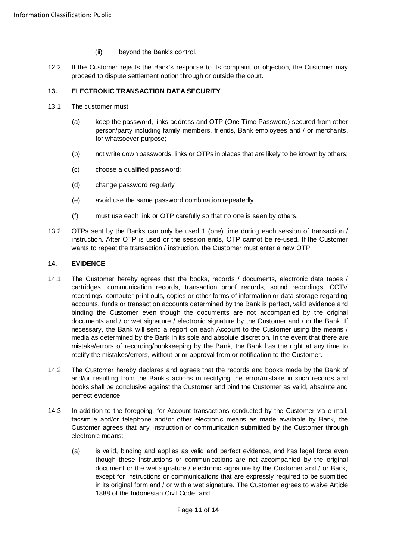- (ii) beyond the Bank's control.
- 12.2 If the Customer rejects the Bank's response to its complaint or objection, the Customer may proceed to dispute settlement option through or outside the court.

# **13. ELECTRONIC TRANSACTION DATA SECURITY**

- 13.1 The customer must
	- (a) keep the password, links address and OTP (One Time Password) secured from other person/party including family members, friends, Bank employees and / or merchants, for whatsoever purpose;
	- (b) not write down passwords, links or OTPs in places that are likely to be known by others;
	- (c) choose a qualified password;
	- (d) change password regularly
	- (e) avoid use the same password combination repeatedly
	- (f) must use each link or OTP carefully so that no one is seen by others.
- 13.2 OTPs sent by the Banks can only be used 1 (one) time during each session of transaction / instruction. After OTP is used or the session ends, OTP cannot be re-used. If the Customer wants to repeat the transaction / instruction, the Customer must enter a new OTP.

### **14. EVIDENCE**

- 14.1 The Customer hereby agrees that the books, records / documents, electronic data tapes / cartridges, communication records, transaction proof records, sound recordings, CCTV recordings, computer print outs, copies or other forms of information or data storage regarding accounts, funds or transaction accounts determined by the Bank is perfect, valid evidence and binding the Customer even though the documents are not accompanied by the original documents and / or wet signature / electronic signature by the Customer and / or the Bank. If necessary, the Bank will send a report on each Account to the Customer using the means / media as determined by the Bank in its sole and absolute discretion. In the event that there are mistake/errors of recording/bookkeeping by the Bank, the Bank has the right at any time to rectify the mistakes/errors, without prior approval from or notification to the Customer.
- 14.2 The Customer hereby declares and agrees that the records and books made by the Bank of and/or resulting from the Bank's actions in rectifying the error/mistake in such records and books shall be conclusive against the Customer and bind the Customer as valid, absolute and perfect evidence.
- 14.3 In addition to the foregoing, for Account transactions conducted by the Customer via e-mail, facsimile and/or telephone and/or other electronic means as made available by Bank, the Customer agrees that any Instruction or communication submitted by the Customer through electronic means:
	- (a) is valid, binding and applies as valid and perfect evidence, and has legal force even though these Instructions or communications are not accompanied by the original document or the wet signature / electronic signature by the Customer and / or Bank, except for Instructions or communications that are expressly required to be submitted in its original form and / or with a wet signature. The Customer agrees to waive Article 1888 of the Indonesian Civil Code; and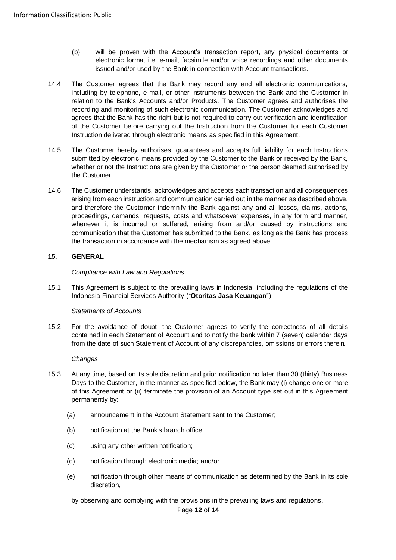- (b) will be proven with the Account's transaction report, any physical documents or electronic format i.e. e-mail, facsimile and/or voice recordings and other documents issued and/or used by the Bank in connection with Account transactions.
- 14.4 The Customer agrees that the Bank may record any and all electronic communications, including by telephone, e-mail, or other instruments between the Bank and the Customer in relation to the Bank's Accounts and/or Products. The Customer agrees and authorises the recording and monitoring of such electronic communication. The Customer acknowledges and agrees that the Bank has the right but is not required to carry out verification and identification of the Customer before carrying out the Instruction from the Customer for each Customer Instruction delivered through electronic means as specified in this Agreement.
- 14.5 The Customer hereby authorises, guarantees and accepts full liability for each Instructions submitted by electronic means provided by the Customer to the Bank or received by the Bank, whether or not the Instructions are given by the Customer or the person deemed authorised by the Customer.
- 14.6 The Customer understands, acknowledges and accepts eachtransaction and all consequences arising from each instruction and communication carried out in the manner as described above, and therefore the Customer indemnify the Bank against any and all losses, claims, actions, proceedings, demands, requests, costs and whatsoever expenses, in any form and manner, whenever it is incurred or suffered, arising from and/or caused by instructions and communication that the Customer has submitted to the Bank, as long as the Bank has process the transaction in accordance with the mechanism as agreed above.

# **15. GENERAL**

*Compliance with Law and Regulations.*

15.1 This Agreement is subject to the prevailing laws in Indonesia, including the regulations of the Indonesia Financial Services Authority ("**Otoritas Jasa Keuangan**").

# *Statements of Accounts*

15.2 For the avoidance of doubt, the Customer agrees to verify the correctness of all details contained in each Statement of Account and to notify the bank within 7 (seven) calendar days from the date of such Statement of Account of any discrepancies, omissions or errors therein.

#### *Changes*

- 15.3 At any time, based on its sole discretion and prior notification no later than 30 (thirty) Business Days to the Customer, in the manner as specified below, the Bank may (i) change one or more of this Agreement or (ii) terminate the provision of an Account type set out in this Agreement permanently by:
	- (a) announcement in the Account Statement sent to the Customer;
	- (b) notification at the Bank's branch office;
	- (c) using any other written notification;
	- (d) notification through electronic media; and/or
	- (e) notification through other means of communication as determined by the Bank in its sole discretion,

by observing and complying with the provisions in the prevailing laws and regulations.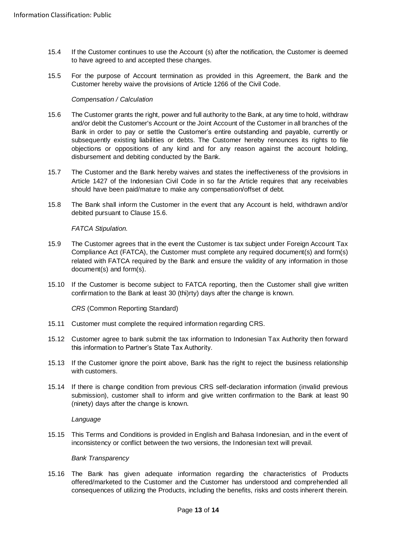- 15.4 If the Customer continues to use the Account (s) after the notification, the Customer is deemed to have agreed to and accepted these changes.
- 15.5 For the purpose of Account termination as provided in this Agreement, the Bank and the Customer hereby waive the provisions of Article 1266 of the Civil Code.

#### *Compensation / Calculation*

- <span id="page-12-0"></span>15.6 The Customer grants the right, power and full authority to the Bank, at any time to hold, withdraw and/or debit the Customer's Account or the Joint Account of the Customer in all branches of the Bank in order to pay or settle the Customer's entire outstanding and payable, currently or subsequently existing liabilities or debts. The Customer hereby renounces its rights to file objections or oppositions of any kind and for any reason against the account holding, disbursement and debiting conducted by the Bank.
- 15.7 The Customer and the Bank hereby waives and states the ineffectiveness of the provisions in Article 1427 of the Indonesian Civil Code in so far the Article requires that any receivables should have been paid/mature to make any compensation/offset of debt.
- 15.8 The Bank shall inform the Customer in the event that any Account is held, withdrawn and/or debited pursuant to Clause [15.6.](#page-12-0)

*FATCA Stipulation.* 

- 15.9 The Customer agrees that in the event the Customer is tax subject under Foreign Account Tax Compliance Act (FATCA), the Customer must complete any required document(s) and form(s) related with FATCA required by the Bank and ensure the validity of any information in those document(s) and form(s).
- 15.10 If the Customer is become subject to FATCA reporting, then the Customer shall give written confirmation to the Bank at least 30 (thi)rty) days after the change is known.

*CRS* (Common Reporting Standard)

- 15.11 Customer must complete the required information regarding CRS.
- 15.12 Customer agree to bank submit the tax information to Indonesian Tax Authority then forward this information to Partner's State Tax Authority.
- 15.13 If the Customer ignore the point above, Bank has the right to reject the business relationship with customers.
- 15.14 If there is change condition from previous CRS self-declaration information (invalid previous submission), customer shall to inform and give written confirmation to the Bank at least 90 (ninety) days after the change is known.

*Language* 

15.15 This Terms and Conditions is provided in English and Bahasa Indonesian, and in the event of inconsistency or conflict between the two versions, the Indonesian text will prevail.

#### *Bank Transparency*

15.16 The Bank has given adequate information regarding the characteristics of Products offered/marketed to the Customer and the Customer has understood and comprehended all consequences of utilizing the Products, including the benefits, risks and costs inherent therein.